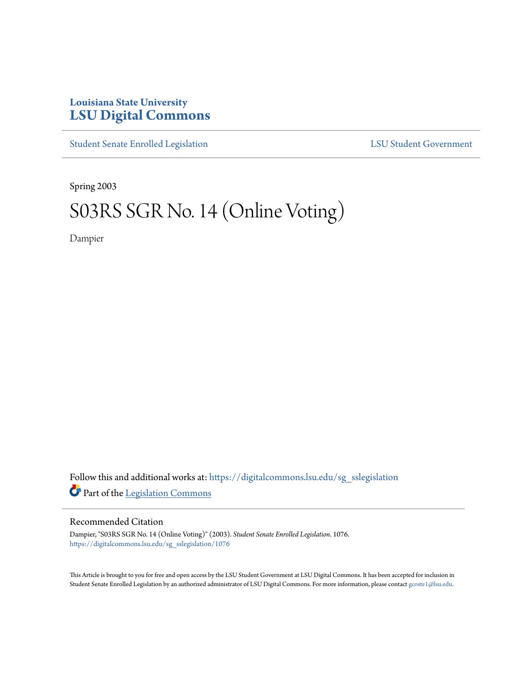## **Louisiana State University [LSU Digital Commons](https://digitalcommons.lsu.edu?utm_source=digitalcommons.lsu.edu%2Fsg_sslegislation%2F1076&utm_medium=PDF&utm_campaign=PDFCoverPages)**

[Student Senate Enrolled Legislation](https://digitalcommons.lsu.edu/sg_sslegislation?utm_source=digitalcommons.lsu.edu%2Fsg_sslegislation%2F1076&utm_medium=PDF&utm_campaign=PDFCoverPages) [LSU Student Government](https://digitalcommons.lsu.edu/sg?utm_source=digitalcommons.lsu.edu%2Fsg_sslegislation%2F1076&utm_medium=PDF&utm_campaign=PDFCoverPages)

Spring 2003

# S03RS SGR No. 14 (Online Voting)

Dampier

Follow this and additional works at: [https://digitalcommons.lsu.edu/sg\\_sslegislation](https://digitalcommons.lsu.edu/sg_sslegislation?utm_source=digitalcommons.lsu.edu%2Fsg_sslegislation%2F1076&utm_medium=PDF&utm_campaign=PDFCoverPages) Part of the [Legislation Commons](http://network.bepress.com/hgg/discipline/859?utm_source=digitalcommons.lsu.edu%2Fsg_sslegislation%2F1076&utm_medium=PDF&utm_campaign=PDFCoverPages)

### Recommended Citation

Dampier, "S03RS SGR No. 14 (Online Voting)" (2003). *Student Senate Enrolled Legislation*. 1076. [https://digitalcommons.lsu.edu/sg\\_sslegislation/1076](https://digitalcommons.lsu.edu/sg_sslegislation/1076?utm_source=digitalcommons.lsu.edu%2Fsg_sslegislation%2F1076&utm_medium=PDF&utm_campaign=PDFCoverPages)

This Article is brought to you for free and open access by the LSU Student Government at LSU Digital Commons. It has been accepted for inclusion in Student Senate Enrolled Legislation by an authorized administrator of LSU Digital Commons. For more information, please contact [gcoste1@lsu.edu.](mailto:gcoste1@lsu.edu)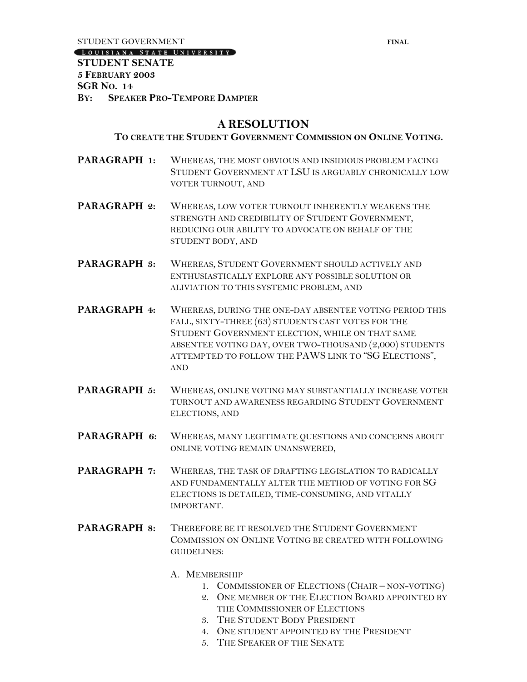STUDENT GOVERNMENT **FINAL** 

[LOUISIANA STATE UNIVERSITY]

**STUDENT SENATE 5 FEBRUARY 2003 SGR NO. 14 BY: SPEAKER PRO-TEMPORE DAMPIER**

## **A RESOLUTION**

### **TO CREATE THE STUDENT GOVERNMENT COMMISSION ON ONLINE VOTING.**

- **PARAGRAPH 1:** WHEREAS, THE MOST OBVIOUS AND INSIDIOUS PROBLEM FACING STUDENT GOVERNMENT AT LSU IS ARGUABLY CHRONICALLY LOW VOTER TURNOUT, AND
- **PARAGRAPH 2:** WHEREAS, LOW VOTER TURNOUT INHERENTLY WEAKENS THE STRENGTH AND CREDIBILITY OF STUDENT GOVERNMENT, REDUCING OUR ABILITY TO ADVOCATE ON BEHALF OF THE STUDENT BODY, AND
- **PARAGRAPH 3:** WHEREAS, STUDENT GOVERNMENT SHOULD ACTIVELY AND ENTHUSIASTICALLY EXPLORE ANY POSSIBLE SOLUTION OR ALIVIATION TO THIS SYSTEMIC PROBLEM, AND
- **PARAGRAPH 4:** WHEREAS, DURING THE ONE-DAY ABSENTEE VOTING PERIOD THIS FALL, SIXTY-THREE (63) STUDENTS CAST VOTES FOR THE STUDENT GOVERNMENT ELECTION, WHILE ON THAT SAME ABSENTEE VOTING DAY, OVER TWO-THOUSAND (2,000) STUDENTS ATTEMPTED TO FOLLOW THE PAWS LINK TO "SG ELECTIONS", AND
- **PARAGRAPH 5:** WHEREAS, ONLINE VOTING MAY SUBSTANTIALLY INCREASE VOTER TURNOUT AND AWARENESS REGARDING STUDENT GOVERNMENT ELECTIONS, AND
- **PARAGRAPH 6:** WHEREAS, MANY LEGITIMATE QUESTIONS AND CONCERNS ABOUT ONLINE VOTING REMAIN UNANSWERED,
- **PARAGRAPH 7:** WHEREAS, THE TASK OF DRAFTING LEGISLATION TO RADICALLY AND FUNDAMENTALLY ALTER THE METHOD OF VOTING FOR SG ELECTIONS IS DETAILED, TIME-CONSUMING, AND VITALLY IMPORTANT.
- **PARAGRAPH 8:** THEREFORE BE IT RESOLVED THE STUDENT GOVERNMENT COMMISSION ON ONLINE VOTING BE CREATED WITH FOLLOWING GUIDELINES:
	- A. MEMBERSHIP
		- 1. COMMISSIONER OF ELECTIONS (CHAIR NON-VOTING)
		- 2. ONE MEMBER OF THE ELECTION BOARD APPOINTED BY THE COMMISSIONER OF ELECTIONS
		- 3. THE STUDENT BODY PRESIDENT
		- 4. ONE STUDENT APPOINTED BY THE PRESIDENT
		- 5. THE SPEAKER OF THE SENATE